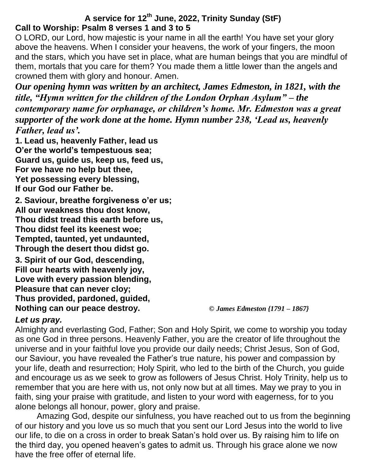# **A service for 12th June, 2022, Trinity Sunday (StF) Call to Worship: Psalm 8 verses 1 and 3 to 5**

O LORD, our Lord, how majestic is your name in all the earth! You have set your glory above the heavens. When I consider your heavens, the work of your fingers, the moon and the stars, which you have set in place, what are human beings that you are mindful of them, mortals that you care for them? You made them a little lower than the angels and crowned them with glory and honour. Amen.

*Our opening hymn was written by an architect, James Edmeston, in 1821, with the title, "Hymn written for the children of the London Orphan Asylum" – the contemporary name for orphanage, or children's home. Mr. Edmeston was a great supporter of the work done at the home. Hymn number 238, 'Lead us, heavenly Father, lead us'.*

**1. Lead us, heavenly Father, lead us O'er the world's tempestuous sea; Guard us, guide us, keep us, feed us, For we have no help but thee, Yet possessing every blessing, If our God our Father be.**

**2. Saviour, breathe forgiveness o'er us; All our weakness thou dost know, Thou didst tread this earth before us, Thou didst feel its keenest woe; Tempted, taunted, yet undaunted, Through the desert thou didst go.**

**3. Spirit of our God, descending, Fill our hearts with heavenly joy, Love with every passion blending, Pleasure that can never cloy; Thus provided, pardoned, guided, Nothing can our peace destroy.** *© James Edmeston {1791 – 1867}*

### *Let us pray.*

Almighty and everlasting God, Father; Son and Holy Spirit, we come to worship you today as one God in three persons. Heavenly Father, you are the creator of life throughout the universe and in your faithful love you provide our daily needs; Christ Jesus, Son of God, our Saviour, you have revealed the Father's true nature, his power and compassion by your life, death and resurrection; Holy Spirit, who led to the birth of the Church, you guide and encourage us as we seek to grow as followers of Jesus Christ. Holy Trinity, help us to remember that you are here with us, not only now but at all times. May we pray to you in faith, sing your praise with gratitude, and listen to your word with eagerness, for to you alone belongs all honour, power, glory and praise.

Amazing God, despite our sinfulness, you have reached out to us from the beginning of our history and you love us so much that you sent our Lord Jesus into the world to live our life, to die on a cross in order to break Satan's hold over us. By raising him to life on the third day, you opened heaven's gates to admit us. Through his grace alone we now have the free offer of eternal life.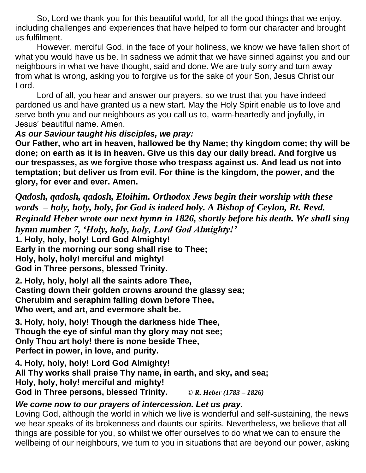So, Lord we thank you for this beautiful world, for all the good things that we enjoy, including challenges and experiences that have helped to form our character and brought us fulfilment.

However, merciful God, in the face of your holiness, we know we have fallen short of what you would have us be. In sadness we admit that we have sinned against you and our neighbours in what we have thought, said and done. We are truly sorry and turn away from what is wrong, asking you to forgive us for the sake of your Son, Jesus Christ our Lord.

Lord of all, you hear and answer our prayers, so we trust that you have indeed pardoned us and have granted us a new start. May the Holy Spirit enable us to love and serve both you and our neighbours as you call us to, warm-heartedly and joyfully, in Jesus' beautiful name. Amen.

### *As our Saviour taught his disciples, we pray:*

**Our Father, who art in heaven, hallowed be thy Name; thy kingdom come; thy will be done; on earth as it is in heaven. Give us this day our daily bread. And forgive us our trespasses, as we forgive those who trespass against us. And lead us not into temptation; but deliver us from evil. For thine is the kingdom, the power, and the glory, for ever and ever. Amen.**

*Qadosh, qadosh, qadosh, Eloihim. Orthodox Jews begin their worship with these words – holy, holy, holy, for God is indeed holy. A Bishop of Ceylon, Rt. Revd. Reginald Heber wrote our next hymn in 1826, shortly before his death. We shall sing hymn number 7, 'Holy, holy, holy, Lord God Almighty!'* **1. Holy, holy, holy! Lord God Almighty! Early in the morning our song shall rise to Thee; Holy, holy, holy! merciful and mighty! God in Three persons, blessed Trinity.**

**2. Holy, holy, holy! all the saints adore Thee, Casting down their golden crowns around the glassy sea; Cherubim and seraphim falling down before Thee, Who wert, and art, and evermore shalt be.**

**3. Holy, holy, holy! Though the darkness hide Thee, Though the eye of sinful man thy glory may not see; Only Thou art holy! there is none beside Thee, Perfect in power, in love, and purity.**

**4. Holy, holy, holy! Lord God Almighty! All Thy works shall praise Thy name, in earth, and sky, and sea; Holy, holy, holy! merciful and mighty! God in Three persons, blessed Trinity.** *© R. Heber (1783 – 1826)*

### *We come now to our prayers of intercession. Let us pray.*

Loving God, although the world in which we live is wonderful and self-sustaining, the news we hear speaks of its brokenness and daunts our spirits. Nevertheless, we believe that all things are possible for you, so whilst we offer ourselves to do what we can to ensure the wellbeing of our neighbours, we turn to you in situations that are beyond our power, asking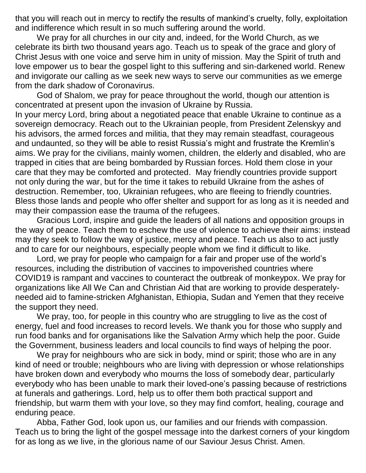that you will reach out in mercy to rectify the results of mankind's cruelty, folly, exploitation and indifference which result in so much suffering around the world.

We pray for all churches in our city and, indeed, for the World Church, as we celebrate its birth two thousand years ago. Teach us to speak of the grace and glory of Christ Jesus with one voice and serve him in unity of mission. May the Spirit of truth and love empower us to bear the gospel light to this suffering and sin-darkened world. Renew and invigorate our calling as we seek new ways to serve our communities as we emerge from the dark shadow of Coronavirus.

God of Shalom, we pray for peace throughout the world, though our attention is concentrated at present upon the invasion of Ukraine by Russia.

In your mercy Lord, bring about a negotiated peace that enable Ukraine to continue as a sovereign democracy. Reach out to the Ukrainian people, from President Zelenskyy and his advisors, the armed forces and militia, that they may remain steadfast, courageous and undaunted, so they will be able to resist Russia's might and frustrate the Kremlin's aims. We pray for the civilians, mainly women, children, the elderly and disabled, who are trapped in cities that are being bombarded by Russian forces. Hold them close in your care that they may be comforted and protected. May friendly countries provide support not only during the war, but for the time it takes to rebuild Ukraine from the ashes of destruction. Remember, too, Ukrainian refugees, who are fleeing to friendly countries. Bless those lands and people who offer shelter and support for as long as it is needed and may their compassion ease the trauma of the refugees.

Gracious Lord, inspire and guide the leaders of all nations and opposition groups in the way of peace. Teach them to eschew the use of violence to achieve their aims: instead may they seek to follow the way of justice, mercy and peace. Teach us also to act justly and to care for our neighbours, especially people whom we find it difficult to like.

Lord, we pray for people who campaign for a fair and proper use of the world's resources, including the distribution of vaccines to impoverished countries where COVID19 is rampant and vaccines to counteract the outbreak of monkeypox. We pray for organizations like All We Can and Christian Aid that are working to provide desperatelyneeded aid to famine-stricken Afghanistan, Ethiopia, Sudan and Yemen that they receive the support they need.

We pray, too, for people in this country who are struggling to live as the cost of energy, fuel and food increases to record levels. We thank you for those who supply and run food banks and for organisations like the Salvation Army which help the poor. Guide the Government, business leaders and local councils to find ways of helping the poor.

We pray for neighbours who are sick in body, mind or spirit; those who are in any kind of need or trouble; neighbours who are living with depression or whose relationships have broken down and everybody who mourns the loss of somebody dear, particularly everybody who has been unable to mark their loved-one's passing because of restrictions at funerals and gatherings. Lord, help us to offer them both practical support and friendship, but warm them with your love, so they may find comfort, healing, courage and enduring peace.

Abba, Father God, look upon us, our families and our friends with compassion. Teach us to bring the light of the gospel message into the darkest corners of your kingdom for as long as we live, in the glorious name of our Saviour Jesus Christ. Amen.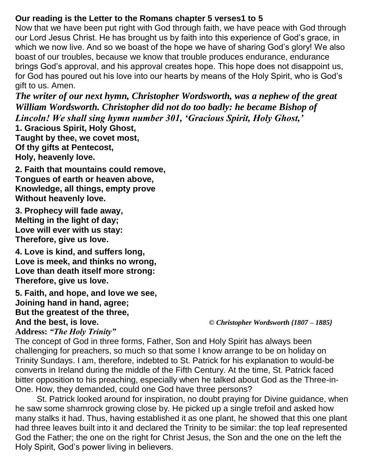## **Our reading is the Letter to the Romans chapter 5 verses1 to 5**

Now that we have been put right with God through faith, we have peace with God through our Lord Jesus Christ. He has brought us by faith into this experience of God's grace, in which we now live. And so we boast of the hope we have of sharing God's glory! We also boast of our troubles, because we know that trouble produces endurance, endurance brings God's approval, and his approval creates hope. This hope does not disappoint us, for God has poured out his love into our hearts by means of the Holy Spirit, who is God's gift to us. Amen.

*The writer of our next hymn, Christopher Wordsworth, was a nephew of the great William Wordsworth. Christopher did not do too badly: he became Bishop of Lincoln! We shall sing hymn number 301, 'Gracious Spirit, Holy Ghost,'*

**1. Gracious Spirit, Holy Ghost, Taught by thee, we covet most, Of thy gifts at Pentecost, Holy, heavenly love.**

**2. Faith that mountains could remove, Tongues of earth or heaven above, Knowledge, all things, empty prove Without heavenly love.**

**3. Prophecy will fade away, Melting in the light of day; Love will ever with us stay: Therefore, give us love.**

**4. Love is kind, and suffers long, Love is meek, and thinks no wrong, Love than death itself more strong: Therefore, give us love.**

**5. Faith, and hope, and love we see, Joining hand in hand, agree; But the greatest of the three, And the best, is love.** *© Christopher Wordsworth {1807 – 1885}*

**Address:** *"The Holy Trinity"*

The concept of God in three forms, Father, Son and Holy Spirit has always been challenging for preachers, so much so that some I know arrange to be on holiday on Trinity Sundays. I am, therefore, indebted to St. Patrick for his explanation to would-be converts in Ireland during the middle of the Fifth Century. At the time, St. Patrick faced bitter opposition to his preaching, especially when he talked about God as the Three-in-One. How, they demanded, could one God have three persons?

St. Patrick looked around for inspiration, no doubt praying for Divine guidance, when he saw some shamrock growing close by. He picked up a single trefoil and asked how many stalks it had. Thus, having established it as one plant, he showed that this one plant had three leaves built into it and declared the Trinity to be similar: the top leaf represented God the Father; the one on the right for Christ Jesus, the Son and the one on the left the Holy Spirit, God's power living in believers.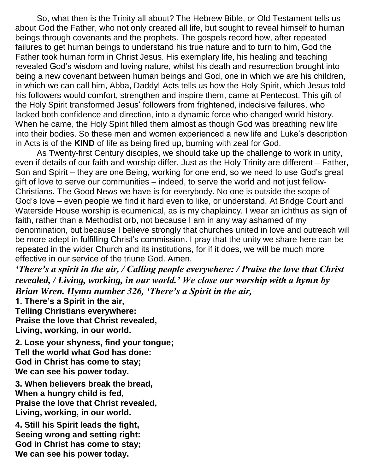So, what then is the Trinity all about? The Hebrew Bible, or Old Testament tells us about God the Father, who not only created all life, but sought to reveal himself to human beings through covenants and the prophets. The gospels record how, after repeated failures to get human beings to understand his true nature and to turn to him, God the Father took human form in Christ Jesus. His exemplary life, his healing and teaching revealed God's wisdom and loving nature, whilst his death and resurrection brought into being a new covenant between human beings and God, one in which we are his children, in which we can call him, Abba, Daddy! Acts tells us how the Holy Spirit, which Jesus told his followers would comfort, strengthen and inspire them, came at Pentecost. This gift of the Holy Spirit transformed Jesus' followers from frightened, indecisive failures, who lacked both confidence and direction, into a dynamic force who changed world history. When he came, the Holy Spirit filled them almost as though God was breathing new life into their bodies. So these men and women experienced a new life and Luke's description in Acts is of the **KIND** of life as being fired up, burning with zeal for God.

As Twenty-first Century disciples, we should take up the challenge to work in unity, even if details of our faith and worship differ. Just as the Holy Trinity are different – Father, Son and Spirit – they are one Being, working for one end, so we need to use God's great gift of love to serve our communities – indeed, to serve the world and not just fellow-Christians. The Good News we have is for everybody. No one is outside the scope of God's love – even people we find it hard even to like, or understand. At Bridge Court and Waterside House worship is ecumenical, as is my chaplaincy. I wear an ichthus as sign of faith, rather than a Methodist orb, not because I am in any way ashamed of my denomination, but because I believe strongly that churches united in love and outreach will be more adept in fulfilling Christ's commission. I pray that the unity we share here can be repeated in the wider Church and its institutions, for if it does, we will be much more effective in our service of the triune God. Amen.

*'There's a spirit in the air, / Calling people everywhere: / Praise the love that Christ revealed, / Living, working, in our world.' We close our worship with a hymn by Brian Wren. Hymn number 326, 'There's a Spirit in the air,*

**1. There's a Spirit in the air, Telling Christians everywhere: Praise the love that Christ revealed, Living, working, in our world.**

**2. Lose your shyness, find your tongue; Tell the world what God has done: God in Christ has come to stay; We can see his power today.**

**3. When believers break the bread, When a hungry child is fed, Praise the love that Christ revealed, Living, working, in our world.**

**4. Still his Spirit leads the fight, Seeing wrong and setting right: God in Christ has come to stay; We can see his power today.**